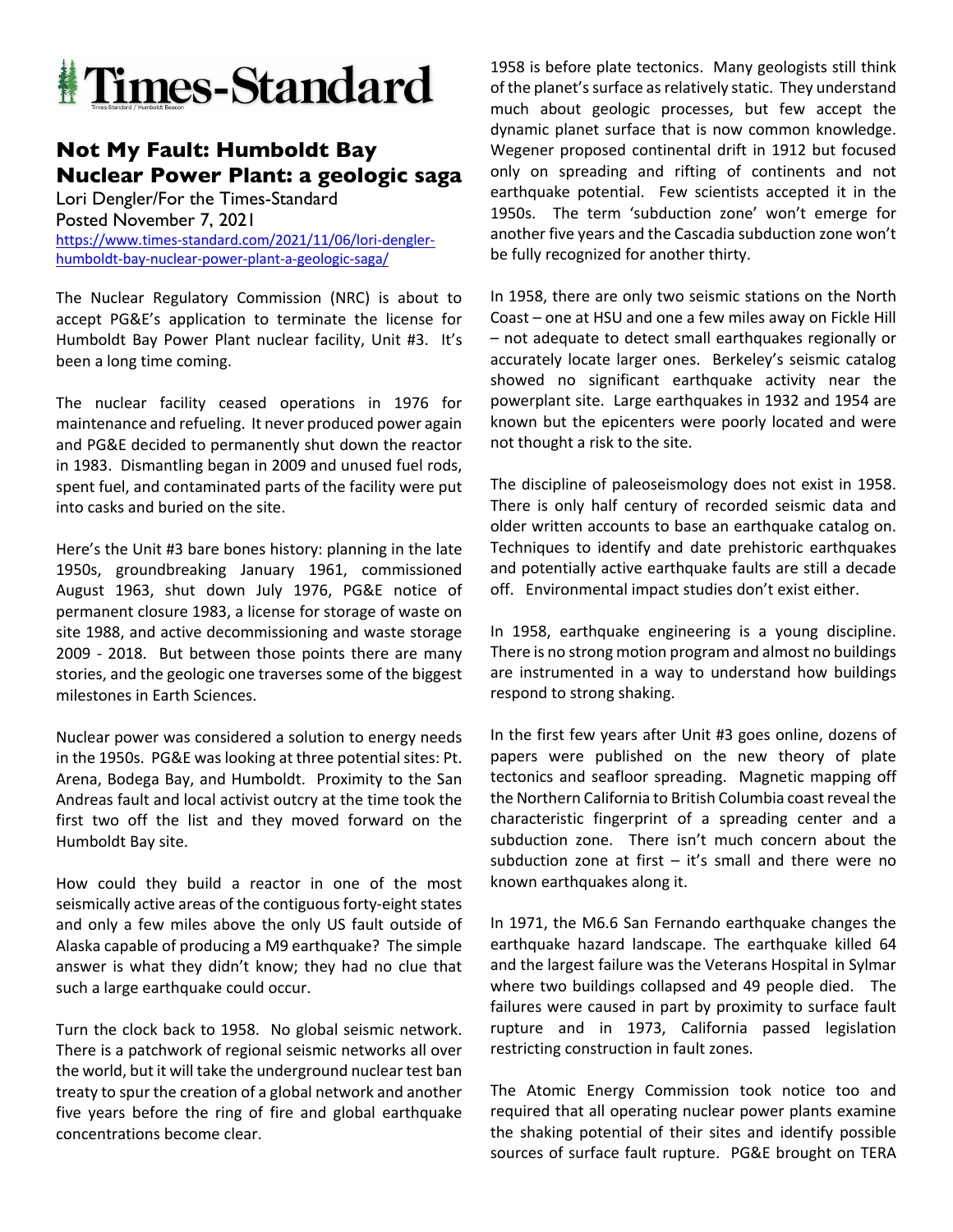

## **Not My Fault: Humboldt Bay Nuclear Power Plant: a geologic saga**

Lori Dengler/For the Times-Standard Posted November 7, 2021 https://www.times-standard.com/2021/11/06/lori-denglerhumboldt-bay-nuclear-power-plant-a-geologic-saga/

The Nuclear Regulatory Commission (NRC) is about to accept PG&E's application to terminate the license for Humboldt Bay Power Plant nuclear facility, Unit #3. It's been a long time coming.

The nuclear facility ceased operations in 1976 for maintenance and refueling. It never produced power again and PG&E decided to permanently shut down the reactor in 1983. Dismantling began in 2009 and unused fuel rods, spent fuel, and contaminated parts of the facility were put into casks and buried on the site.

Here's the Unit #3 bare bones history: planning in the late 1950s, groundbreaking January 1961, commissioned August 1963, shut down July 1976, PG&E notice of permanent closure 1983, a license for storage of waste on site 1988, and active decommissioning and waste storage 2009 - 2018. But between those points there are many stories, and the geologic one traverses some of the biggest milestones in Earth Sciences.

Nuclear power was considered a solution to energy needs in the 1950s. PG&E was looking at three potential sites: Pt. Arena, Bodega Bay, and Humboldt. Proximity to the San Andreas fault and local activist outcry at the time took the first two off the list and they moved forward on the Humboldt Bay site.

How could they build a reactor in one of the most seismically active areas of the contiguous forty-eight states and only a few miles above the only US fault outside of Alaska capable of producing a M9 earthquake? The simple answer is what they didn't know; they had no clue that such a large earthquake could occur.

Turn the clock back to 1958. No global seismic network. There is a patchwork of regional seismic networks all over the world, but it will take the underground nuclear test ban treaty to spur the creation of a global network and another five years before the ring of fire and global earthquake concentrations become clear.

1958 is before plate tectonics. Many geologists still think of the planet's surface as relatively static. They understand much about geologic processes, but few accept the dynamic planet surface that is now common knowledge. Wegener proposed continental drift in 1912 but focused only on spreading and rifting of continents and not earthquake potential. Few scientists accepted it in the 1950s. The term 'subduction zone' won't emerge for another five years and the Cascadia subduction zone won't be fully recognized for another thirty.

In 1958, there are only two seismic stations on the North Coast – one at HSU and one a few miles away on Fickle Hill – not adequate to detect small earthquakes regionally or accurately locate larger ones. Berkeley's seismic catalog showed no significant earthquake activity near the powerplant site. Large earthquakes in 1932 and 1954 are known but the epicenters were poorly located and were not thought a risk to the site.

The discipline of paleoseismology does not exist in 1958. There is only half century of recorded seismic data and older written accounts to base an earthquake catalog on. Techniques to identify and date prehistoric earthquakes and potentially active earthquake faults are still a decade off. Environmental impact studies don't exist either.

In 1958, earthquake engineering is a young discipline. There is no strong motion program and almost no buildings are instrumented in a way to understand how buildings respond to strong shaking.

In the first few years after Unit #3 goes online, dozens of papers were published on the new theory of plate tectonics and seafloor spreading. Magnetic mapping off the Northern California to British Columbia coast reveal the characteristic fingerprint of a spreading center and a subduction zone. There isn't much concern about the subduction zone at first – it's small and there were no known earthquakes along it.

In 1971, the M6.6 San Fernando earthquake changes the earthquake hazard landscape. The earthquake killed 64 and the largest failure was the Veterans Hospital in Sylmar where two buildings collapsed and 49 people died. The failures were caused in part by proximity to surface fault rupture and in 1973, California passed legislation restricting construction in fault zones.

The Atomic Energy Commission took notice too and required that all operating nuclear power plants examine the shaking potential of their sites and identify possible sources of surface fault rupture. PG&E brought on TERA